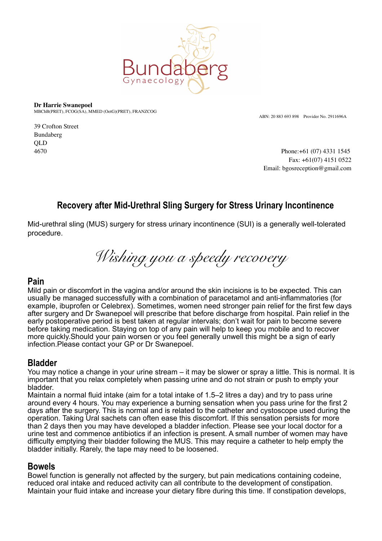

**Dr Harrie Swanepoel** MBChB(PRET), FCOG(SA), MMED (OetG)(PRET), FRANZCOG

39 Crofton Street Bundaberg QLD

ABN: 20 883 693 898 Provider No. 2911696A

4670 Phone:+61 (07) 4331 1545 Fax: +61(07) 4151 0522 Email: bgosreception@gmail.com

# **Recovery after Mid-Urethral Sling Surgery for Stress Urinary Incontinence**

Mid-urethral sling (MUS) surgery for stress urinary incontinence (SUI) is a generally well-tolerated procedure.

*Wishing you a speedy recovery* 

### **Pain**

Mild pain or discomfort in the vagina and/or around the skin incisions is to be expected. This can usually be managed successfully with a combination of paracetamol and anti-inflammatories (for example, ibuprofen or Celebrex). Sometimes, women need stronger pain relief for the first few days after surgery and Dr Swanepoel will prescribe that before discharge from hospital. Pain relief in the early postoperative period is best taken at regular intervals; don't wait for pain to become severe before taking medication. Staying on top of any pain will help to keep you mobile and to recover more quickly.Should your pain worsen or you feel generally unwell this might be a sign of early infection.Please contact your GP or Dr Swanepoel.

## **Bladder**

You may notice a change in your urine stream – it may be slower or spray a little. This is normal. It is important that you relax completely when passing urine and do not strain or push to empty your bladder.

Maintain a normal fluid intake (aim for a total intake of 1.5–2 litres a day) and try to pass urine around every 4 hours. You may experience a burning sensation when you pass urine for the first 2 days after the surgery. This is normal and is related to the catheter and cystoscope used during the operation. Taking Ural sachets can often ease this discomfort. If this sensation persists for more than 2 days then you may have developed a bladder infection. Please see your local doctor for a urine test and commence antibiotics if an infection is present. A small number of women may have difficulty emptying their bladder following the MUS. This may require a catheter to help empty the bladder initially. Rarely, the tape may need to be loosened.

### **Bowels**

Bowel function is generally not affected by the surgery, but pain medications containing codeine, reduced oral intake and reduced activity can all contribute to the development of constipation. Maintain your fluid intake and increase your dietary fibre during this time. If constipation develops,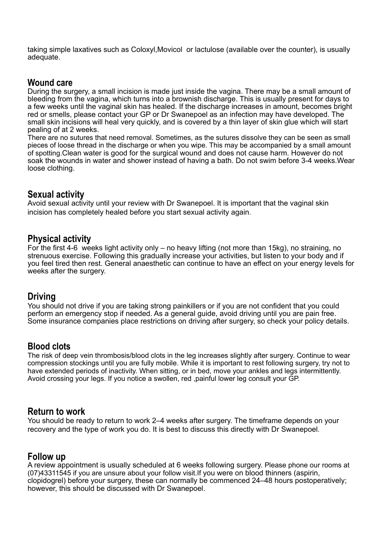taking simple laxatives such as Coloxyl,Movicol or lactulose (available over the counter), is usually adequate.

#### **Wound care**

During the surgery, a small incision is made just inside the vagina. There may be a small amount of bleeding from the vagina, which turns into a brownish discharge. This is usually present for days to a few weeks until the vaginal skin has healed. If the discharge increases in amount, becomes bright red or smells, please contact your GP or Dr Swanepoel as an infection may have developed. The small skin incisions will heal very quickly, and is covered by a thin layer of skin glue which will start pealing of at 2 weeks.

There are no sutures that need removal. Sometimes, as the sutures dissolve they can be seen as small pieces of loose thread in the discharge or when you wipe. This may be accompanied by a small amount of spotting.Clean water is good for the surgical wound and does not cause harm. However do not soak the wounds in water and shower instead of having a bath. Do not swim before 3-4 weeks.Wear loose clothing.

#### **Sexual activity**

Avoid sexual activity until your review with Dr Swanepoel. It is important that the vaginal skin incision has completely healed before you start sexual activity again.

#### **Physical activity**

For the first 4-6 weeks light activity only – no heavy lifting (not more than 15kg), no straining, no strenuous exercise. Following this gradually increase your activities, but listen to your body and if you feel tired then rest. General anaesthetic can continue to have an effect on your energy levels for weeks after the surgery.

#### **Driving**

You should not drive if you are taking strong painkillers or if you are not confident that you could perform an emergency stop if needed. As a general guide, avoid driving until you are pain free. Some insurance companies place restrictions on driving after surgery, so check your policy details.

### **Blood clots**

The risk of deep vein thrombosis/blood clots in the leg increases slightly after surgery. Continue to wear compression stockings until you are fully mobile. While it is important to rest following surgery, try not to have extended periods of inactivity. When sitting, or in bed, move your ankles and legs intermittently. Avoid crossing your legs. If you notice a swollen, red ,painful lower leg consult your GP.

#### **Return to work**

You should be ready to return to work 2–4 weeks after surgery. The timeframe depends on your recovery and the type of work you do. It is best to discuss this directly with Dr Swanepoel.

#### **Follow up**

A review appointment is usually scheduled at 6 weeks following surgery. Please phone our rooms at (07)43311545 if you are unsure about your follow visit.If you were on blood thinners (aspirin, clopidogrel) before your surgery, these can normally be commenced 24–48 hours postoperatively; however, this should be discussed with Dr Swanepoel.